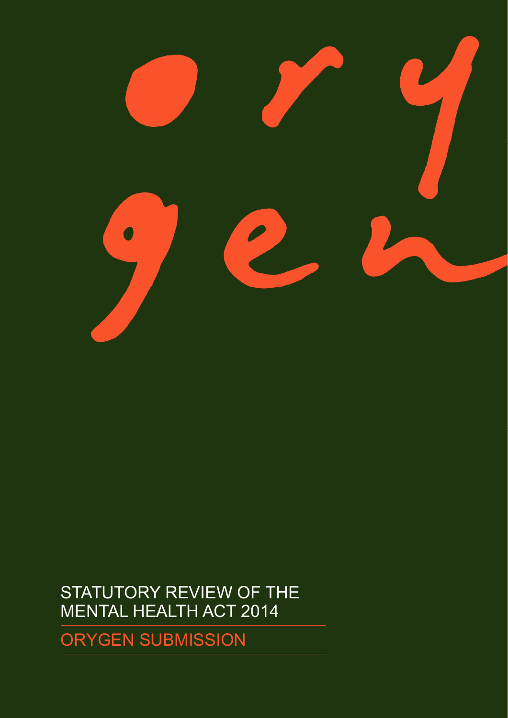

# STATUTORY REVIEW OF THE MENTAL HEALTH ACT 2014

ORYGEN SUBMISSION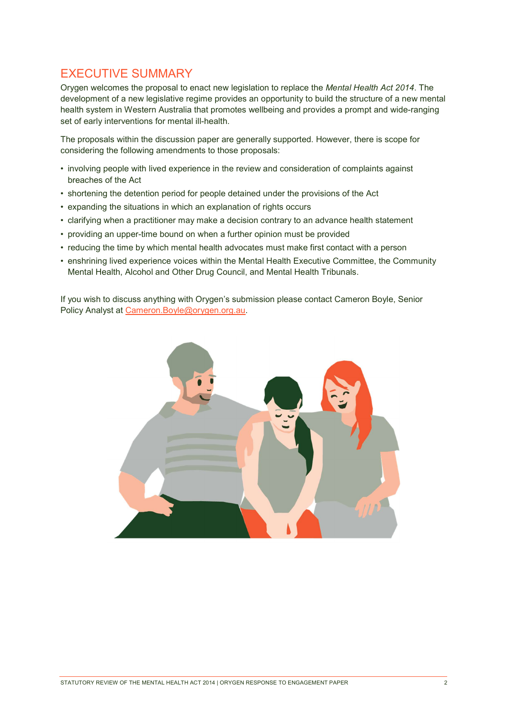### EXECUTIVE SUMMARY

Orygen welcomes the proposal to enact new legislation to replace the Mental Health Act 2014. The development of a new legislative regime provides an opportunity to build the structure of a new mental health system in Western Australia that promotes wellbeing and provides a prompt and wide-ranging set of early interventions for mental ill-health.

The proposals within the discussion paper are generally supported. However, there is scope for considering the following amendments to those proposals:

- involving people with lived experience in the review and consideration of complaints against breaches of the Act
- shortening the detention period for people detained under the provisions of the Act
- expanding the situations in which an explanation of rights occurs
- clarifying when a practitioner may make a decision contrary to an advance health statement
- providing an upper-time bound on when a further opinion must be provided
- reducing the time by which mental health advocates must make first contact with a person
- enshrining lived experience voices within the Mental Health Executive Committee, the Community Mental Health, Alcohol and Other Drug Council, and Mental Health Tribunals.

If you wish to discuss anything with Orygen's submission please contact Cameron Boyle, Senior Policy Analyst at Cameron.Boyle@orygen.org.au.

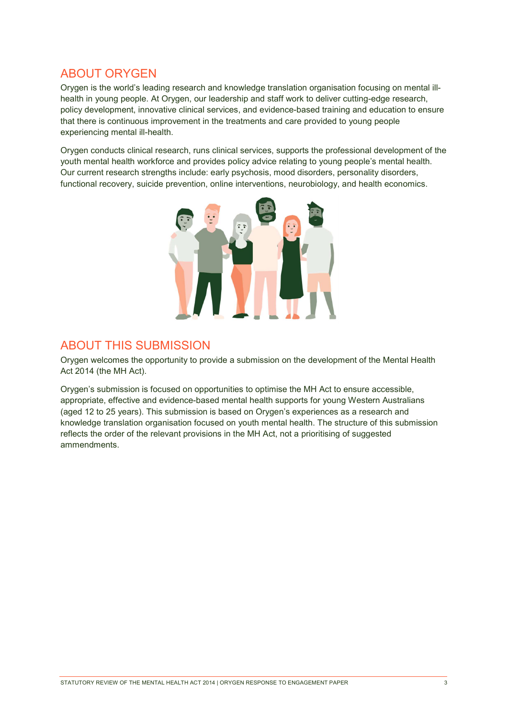### ABOUT ORYGEN

Orygen is the world's leading research and knowledge translation organisation focusing on mental illhealth in young people. At Orygen, our leadership and staff work to deliver cutting-edge research, policy development, innovative clinical services, and evidence-based training and education to ensure that there is continuous improvement in the treatments and care provided to young people experiencing mental ill-health.

Orygen conducts clinical research, runs clinical services, supports the professional development of the youth mental health workforce and provides policy advice relating to young people's mental health. Our current research strengths include: early psychosis, mood disorders, personality disorders, functional recovery, suicide prevention, online interventions, neurobiology, and health economics.



### ABOUT THIS SUBMISSION

Orygen welcomes the opportunity to provide a submission on the development of the Mental Health Act 2014 (the MH Act).

Orygen's submission is focused on opportunities to optimise the MH Act to ensure accessible, appropriate, effective and evidence-based mental health supports for young Western Australians (aged 12 to 25 years). This submission is based on Orygen's experiences as a research and knowledge translation organisation focused on youth mental health. The structure of this submission reflects the order of the relevant provisions in the MH Act, not a prioritising of suggested ammendments.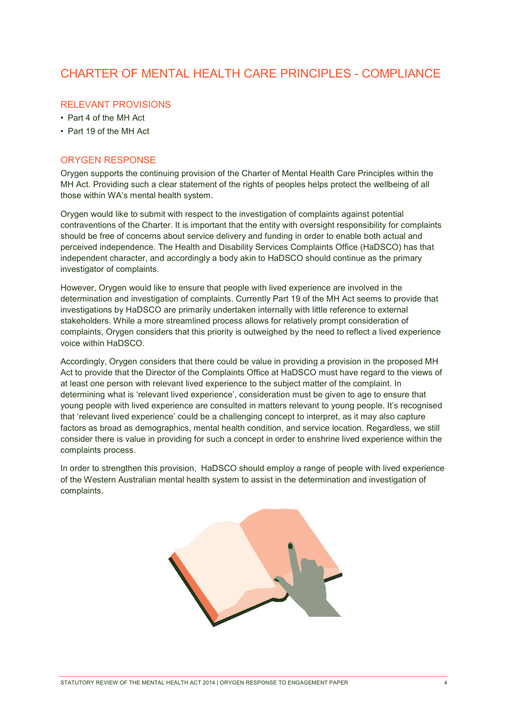### CHARTER OF MENTAL HEALTH CARE PRINCIPLES - COMPLIANCE

### RELEVANT PROVISIONS

- Part 4 of the MH Act
- Part 19 of the MH Act

#### ORYGEN RESPONSE

Orygen supports the continuing provision of the Charter of Mental Health Care Principles within the MH Act. Providing such a clear statement of the rights of peoples helps protect the wellbeing of all those within WA's mental health system.

Orygen would like to submit with respect to the investigation of complaints against potential contraventions of the Charter. It is important that the entity with oversight responsibility for complaints should be free of concerns about service delivery and funding in order to enable both actual and perceived independence. The Health and Disability Services Complaints Office (HaDSCO) has that independent character, and accordingly a body akin to HaDSCO should continue as the primary investigator of complaints.

However, Orygen would like to ensure that people with lived experience are involved in the determination and investigation of complaints. Currently Part 19 of the MH Act seems to provide that investigations by HaDSCO are primarily undertaken internally with little reference to external stakeholders. While a more streamlined process allows for relatively prompt consideration of complaints, Orygen considers that this priority is outweighed by the need to reflect a lived experience voice within HaDSCO.

Accordingly, Orygen considers that there could be value in providing a provision in the proposed MH Act to provide that the Director of the Complaints Office at HaDSCO must have regard to the views of at least one person with relevant lived experience to the subject matter of the complaint. In determining what is 'relevant lived experience', consideration must be given to age to ensure that young people with lived experience are consulted in matters relevant to young people. It's recognised that 'relevant lived experience' could be a challenging concept to interpret, as it may also capture factors as broad as demographics, mental health condition, and service location. Regardless, we still consider there is value in providing for such a concept in order to enshrine lived experience within the complaints process.

In order to strengthen this provision, HaDSCO should employ a range of people with lived experience of the Western Australian mental health system to assist in the determination and investigation of complaints.

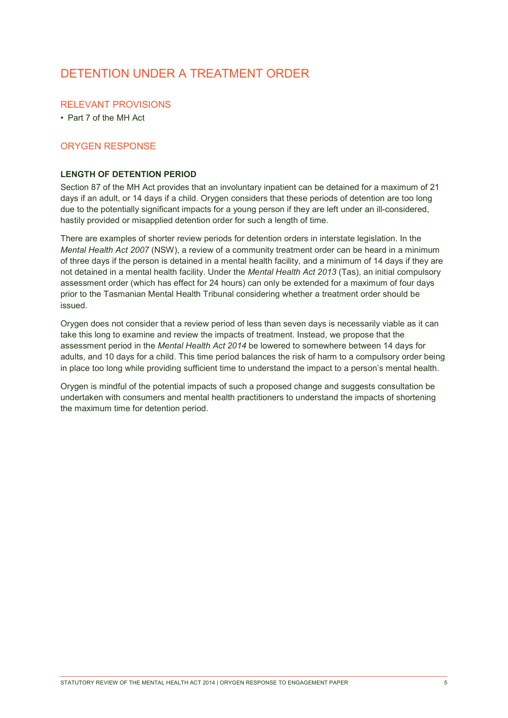### DETENTION UNDER A TREATMENT ORDER

#### RELEVANT PROVISIONS

• Part 7 of the MH Act

### ORYGEN RESPONSE

#### LENGTH OF DETENTION PERIOD

Section 87 of the MH Act provides that an involuntary inpatient can be detained for a maximum of 21 days if an adult, or 14 days if a child. Orygen considers that these periods of detention are too long due to the potentially significant impacts for a young person if they are left under an ill-considered, hastily provided or misapplied detention order for such a length of time.

There are examples of shorter review periods for detention orders in interstate legislation. In the Mental Health Act 2007 (NSW), a review of a community treatment order can be heard in a minimum of three days if the person is detained in a mental health facility, and a minimum of 14 days if they are not detained in a mental health facility. Under the Mental Health Act 2013 (Tas), an initial compulsory assessment order (which has effect for 24 hours) can only be extended for a maximum of four days prior to the Tasmanian Mental Health Tribunal considering whether a treatment order should be issued.

Orygen does not consider that a review period of less than seven days is necessarily viable as it can take this long to examine and review the impacts of treatment. Instead, we propose that the assessment period in the Mental Health Act 2014 be lowered to somewhere between 14 days for adults, and 10 days for a child. This time period balances the risk of harm to a compulsory order being in place too long while providing sufficient time to understand the impact to a person's mental health.

Orygen is mindful of the potential impacts of such a proposed change and suggests consultation be undertaken with consumers and mental health practitioners to understand the impacts of shortening the maximum time for detention period.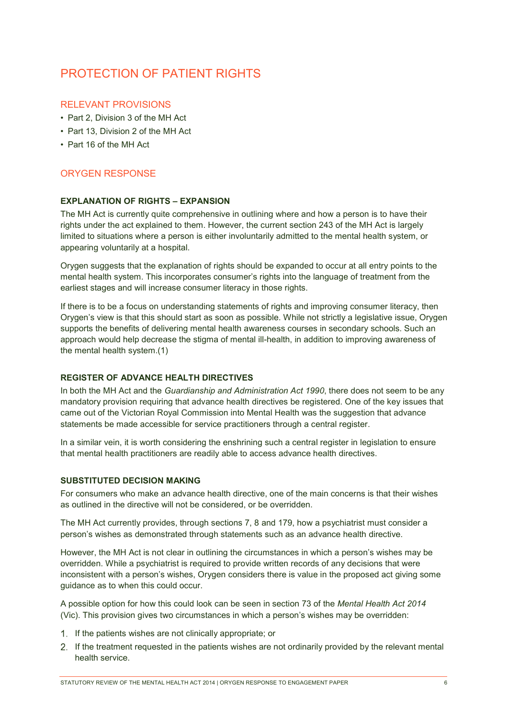# PROTECTION OF PATIENT RIGHTS

#### RELEVANT PROVISIONS

- Part 2, Division 3 of the MH Act
- Part 13, Division 2 of the MH Act
- Part 16 of the MH Act

### ORYGEN RESPONSE

#### EXPLANATION OF RIGHTS – EXPANSION

The MH Act is currently quite comprehensive in outlining where and how a person is to have their rights under the act explained to them. However, the current section 243 of the MH Act is largely limited to situations where a person is either involuntarily admitted to the mental health system, or appearing voluntarily at a hospital.

Orygen suggests that the explanation of rights should be expanded to occur at all entry points to the mental health system. This incorporates consumer's rights into the language of treatment from the earliest stages and will increase consumer literacy in those rights.

If there is to be a focus on understanding statements of rights and improving consumer literacy, then Orygen's view is that this should start as soon as possible. While not strictly a legislative issue, Orygen supports the benefits of delivering mental health awareness courses in secondary schools. Such an approach would help decrease the stigma of mental ill-health, in addition to improving awareness of the mental health system.(1)

#### REGISTER OF ADVANCE HEALTH DIRECTIVES

In both the MH Act and the Guardianship and Administration Act 1990, there does not seem to be any mandatory provision requiring that advance health directives be registered. One of the key issues that came out of the Victorian Royal Commission into Mental Health was the suggestion that advance statements be made accessible for service practitioners through a central register.

In a similar vein, it is worth considering the enshrining such a central register in legislation to ensure that mental health practitioners are readily able to access advance health directives.

#### SUBSTITUTED DECISION MAKING

For consumers who make an advance health directive, one of the main concerns is that their wishes as outlined in the directive will not be considered, or be overridden.

The MH Act currently provides, through sections 7, 8 and 179, how a psychiatrist must consider a person's wishes as demonstrated through statements such as an advance health directive.

However, the MH Act is not clear in outlining the circumstances in which a person's wishes may be overridden. While a psychiatrist is required to provide written records of any decisions that were inconsistent with a person's wishes, Orygen considers there is value in the proposed act giving some guidance as to when this could occur.

A possible option for how this could look can be seen in section 73 of the Mental Health Act 2014 (Vic). This provision gives two circumstances in which a person's wishes may be overridden:

- If the patients wishes are not clinically appropriate; or
- If the treatment requested in the patients wishes are not ordinarily provided by the relevant mental health service.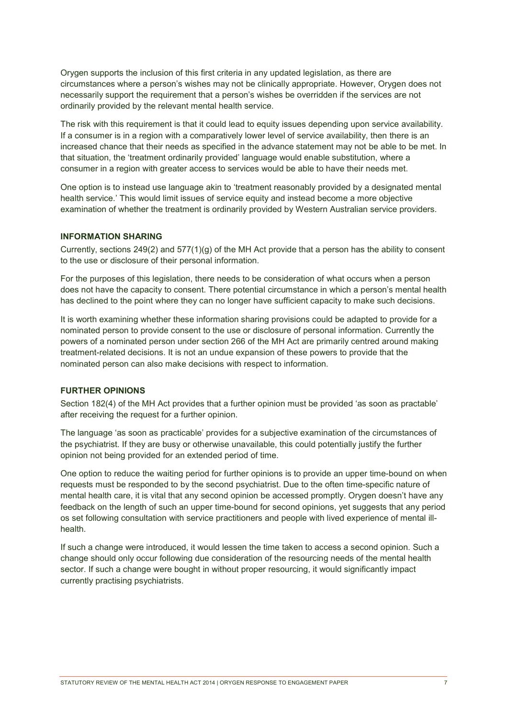Orygen supports the inclusion of this first criteria in any updated legislation, as there are circumstances where a person's wishes may not be clinically appropriate. However, Orygen does not necessarily support the requirement that a person's wishes be overridden if the services are not ordinarily provided by the relevant mental health service.

The risk with this requirement is that it could lead to equity issues depending upon service availability. If a consumer is in a region with a comparatively lower level of service availability, then there is an increased chance that their needs as specified in the advance statement may not be able to be met. In that situation, the 'treatment ordinarily provided' language would enable substitution, where a consumer in a region with greater access to services would be able to have their needs met.

One option is to instead use language akin to 'treatment reasonably provided by a designated mental health service.' This would limit issues of service equity and instead become a more objective examination of whether the treatment is ordinarily provided by Western Australian service providers.

#### INFORMATION SHARING

Currently, sections  $249(2)$  and  $577(1)(q)$  of the MH Act provide that a person has the ability to consent to the use or disclosure of their personal information.

For the purposes of this legislation, there needs to be consideration of what occurs when a person does not have the capacity to consent. There potential circumstance in which a person's mental health has declined to the point where they can no longer have sufficient capacity to make such decisions.

It is worth examining whether these information sharing provisions could be adapted to provide for a nominated person to provide consent to the use or disclosure of personal information. Currently the powers of a nominated person under section 266 of the MH Act are primarily centred around making treatment-related decisions. It is not an undue expansion of these powers to provide that the nominated person can also make decisions with respect to information.

#### FURTHER OPINIONS

Section 182(4) of the MH Act provides that a further opinion must be provided 'as soon as practable' after receiving the request for a further opinion.

The language 'as soon as practicable' provides for a subjective examination of the circumstances of the psychiatrist. If they are busy or otherwise unavailable, this could potentially justify the further opinion not being provided for an extended period of time.

One option to reduce the waiting period for further opinions is to provide an upper time-bound on when requests must be responded to by the second psychiatrist. Due to the often time-specific nature of mental health care, it is vital that any second opinion be accessed promptly. Orygen doesn't have any feedback on the length of such an upper time-bound for second opinions, yet suggests that any period os set following consultation with service practitioners and people with lived experience of mental illhealth.

If such a change were introduced, it would lessen the time taken to access a second opinion. Such a change should only occur following due consideration of the resourcing needs of the mental health sector. If such a change were bought in without proper resourcing, it would significantly impact currently practising psychiatrists.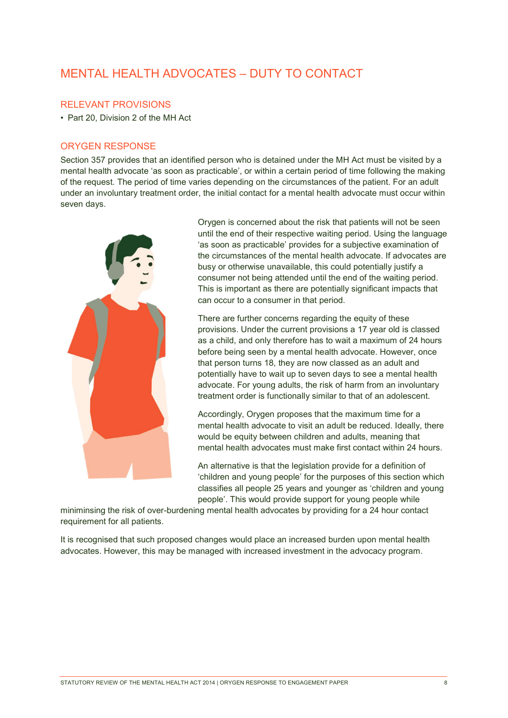# MENTAL HEALTH ADVOCATES – DUTY TO CONTACT

#### RELEVANT PROVISIONS

• Part 20, Division 2 of the MH Act

#### ORYGEN RESPONSE

Section 357 provides that an identified person who is detained under the MH Act must be visited by a mental health advocate 'as soon as practicable', or within a certain period of time following the making of the request. The period of time varies depending on the circumstances of the patient. For an adult under an involuntary treatment order, the initial contact for a mental health advocate must occur within seven days.



Orygen is concerned about the risk that patients will not be seen until the end of their respective waiting period. Using the language 'as soon as practicable' provides for a subjective examination of the circumstances of the mental health advocate. If advocates are busy or otherwise unavailable, this could potentially justify a consumer not being attended until the end of the waiting period. This is important as there are potentially significant impacts that can occur to a consumer in that period.

There are further concerns regarding the equity of these provisions. Under the current provisions a 17 year old is classed as a child, and only therefore has to wait a maximum of 24 hours before being seen by a mental health advocate. However, once that person turns 18, they are now classed as an adult and potentially have to wait up to seven days to see a mental health advocate. For young adults, the risk of harm from an involuntary treatment order is functionally similar to that of an adolescent.

Accordingly, Orygen proposes that the maximum time for a mental health advocate to visit an adult be reduced. Ideally, there would be equity between children and adults, meaning that mental health advocates must make first contact within 24 hours.

An alternative is that the legislation provide for a definition of 'children and young people' for the purposes of this section which classifies all people 25 years and younger as 'children and young people'. This would provide support for young people while

miniminsing the risk of over-burdening mental health advocates by providing for a 24 hour contact requirement for all patients.

It is recognised that such proposed changes would place an increased burden upon mental health advocates. However, this may be managed with increased investment in the advocacy program.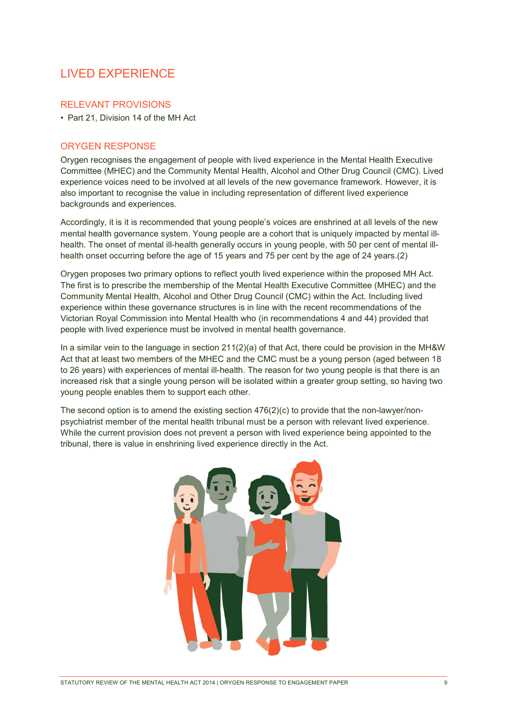# LIVED EXPERIENCE

#### RELEVANT PROVISIONS

• Part 21, Division 14 of the MH Act

#### ORYGEN RESPONSE

Orygen recognises the engagement of people with lived experience in the Mental Health Executive Committee (MHEC) and the Community Mental Health, Alcohol and Other Drug Council (CMC). Lived experience voices need to be involved at all levels of the new governance framework. However, it is also important to recognise the value in including representation of different lived experience backgrounds and experiences.

Accordingly, it is it is recommended that young people's voices are enshrined at all levels of the new mental health governance system. Young people are a cohort that is uniquely impacted by mental illhealth. The onset of mental ill-health generally occurs in young people, with 50 per cent of mental illhealth onset occurring before the age of 15 years and 75 per cent by the age of 24 years.(2)

Orygen proposes two primary options to reflect youth lived experience within the proposed MH Act. The first is to prescribe the membership of the Mental Health Executive Committee (MHEC) and the Community Mental Health, Alcohol and Other Drug Council (CMC) within the Act. Including lived experience within these governance structures is in line with the recent recommendations of the Victorian Royal Commission into Mental Health who (in recommendations 4 and 44) provided that people with lived experience must be involved in mental health governance.

In a similar vein to the language in section 211(2)(a) of that Act, there could be provision in the MH&W Act that at least two members of the MHEC and the CMC must be a young person (aged between 18 to 26 years) with experiences of mental ill-health. The reason for two young people is that there is an increased risk that a single young person will be isolated within a greater group setting, so having two young people enables them to support each other.

The second option is to amend the existing section  $476(2)(c)$  to provide that the non-lawyer/nonpsychiatrist member of the mental health tribunal must be a person with relevant lived experience. While the current provision does not prevent a person with lived experience being appointed to the tribunal, there is value in enshrining lived experience directly in the Act.